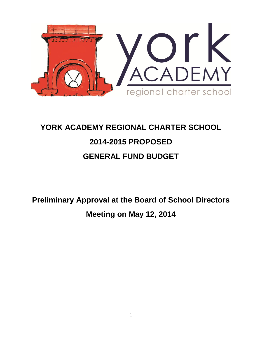

# **YORK ACADEMY REGIONAL CHARTER SCHOOL 2014-2015 PROPOSED GENERAL FUND BUDGET**

**Preliminary Approval at the Board of School Directors Meeting on May 12, 2014**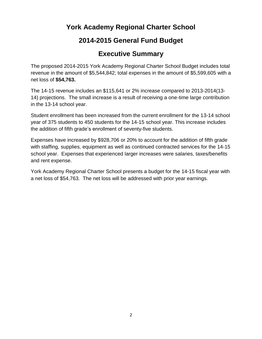## **York Academy Regional Charter School**

## **2014-2015 General Fund Budget**

## **Executive Summary**

The proposed 2014-2015 York Academy Regional Charter School Budget includes total revenue in the amount of \$5,544,842; total expenses in the amount of \$5,599,605 with a net loss of **\$54,763.**

The 14-15 revenue includes an \$115,641 or 2% increase compared to 2013-2014(13- 14) projections. The small increase is a result of receiving a one-time large contribution in the 13-14 school year.

Student enrollment has been increased from the current enrollment for the 13-14 school year of 375 students to 450 students for the 14-15 school year. This increase includes the addition of fifth grade's enrollment of seventy-five students.

Expenses have increased by \$928,706 or 20% to account for the addition of fifth grade with staffing, supplies, equipment as well as continued contracted services for the 14-15 school year. Expenses that experienced larger increases were salaries, taxes/benefits and rent expense.

York Academy Regional Charter School presents a budget for the 14-15 fiscal year with a net loss of \$54,763. The net loss will be addressed with prior year earnings.